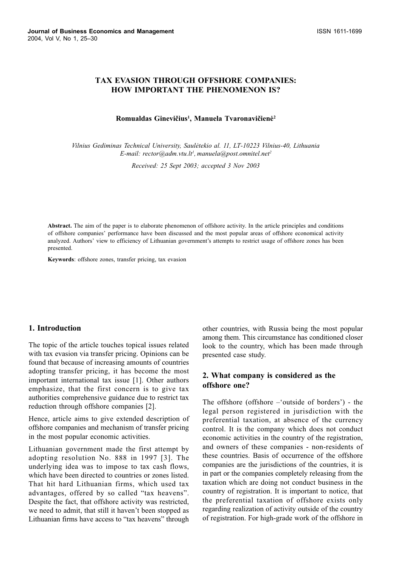# **TAX EVASION THROUGH OFFSHORE COMPANIES: HOW IMPORTANT THE PHENOMENON IS?**

#### Romualdas Ginevičius<sup>1</sup>, Manuela Tvaronavičienė<sup>2</sup>

Vilnius Gediminas Technical University, Saulėtekio al. 11. LT-10223 Vilnius-40. Lithuania E-mail: rector@adm.vtu.lt<sup>1</sup>, manuela@post.omnitel.net<sup>2</sup>

Received: 25 Sept 2003; accepted 3 Nov 2003

Abstract. The aim of the paper is to elaborate phenomenon of offshore activity. In the article principles and conditions of offshore companies' performance have been discussed and the most popular areas of offshore economical activity analyzed. Authors' view to efficiency of Lithuanian government's attempts to restrict usage of offshore zones has been presented.

Keywords: offshore zones, transfer pricing, tax evasion

#### 1. Introduction

The topic of the article touches topical issues related with tax evasion via transfer pricing. Opinions can be found that because of increasing amounts of countries adopting transfer pricing, it has become the most important international tax issue [1]. Other authors emphasize, that the first concern is to give tax authorities comprehensive guidance due to restrict tax reduction through offshore companies [2].

Hence, article aims to give extended description of offshore companies and mechanism of transfer pricing in the most popular economic activities.

Lithuanian government made the first attempt by adopting resolution No. 888 in 1997 [3]. The underlying idea was to impose to tax cash flows, which have been directed to countries or zones listed. That hit hard Lithuanian firms, which used tax advantages, offered by so called "tax heavens". Despite the fact, that offshore activity was restricted, we need to admit, that still it haven't been stopped as Lithuanian firms have access to "tax heavens" through other countries, with Russia being the most popular among them. This circumstance has conditioned closer look to the country, which has been made through presented case study.

## 2. What company is considered as the offshore one?

The offshore (offshore -'outside of borders') - the legal person registered in jurisdiction with the preferential taxation, at absence of the currency control. It is the company which does not conduct economic activities in the country of the registration, and owners of these companies - non-residents of these countries. Basis of occurrence of the offshore companies are the jurisdictions of the countries, it is in part or the companies completely releasing from the taxation which are doing not conduct business in the country of registration. It is important to notice, that the preferential taxation of offshore exists only regarding realization of activity outside of the country of registration. For high-grade work of the offshore in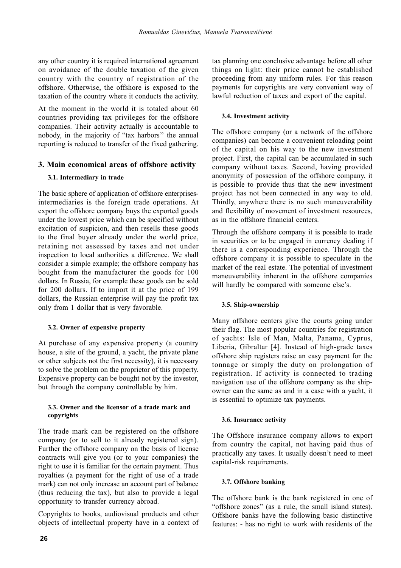any other country it is required international agreement on avoidance of the double taxation of the given country with the country of registration of the offshore. Otherwise, the offshore is exposed to the taxation of the country where it conducts the activity.

At the moment in the world it is totaled about 60 countries providing tax privileges for the offshore companies. Their activity actually is accountable to nobody, in the majority of "tax harbors" the annual reporting is reduced to transfer of the fixed gathering.

# 3. Main economical areas of offshore activity

## 3.1. Intermediary in trade

The basic sphere of application of offshore enterprisesintermediaries is the foreign trade operations. At export the offshore company buys the exported goods under the lowest price which can be specified without excitation of suspicion, and then resells these goods to the final buyer already under the world price, retaining not assessed by taxes and not under inspection to local authorities a difference. We shall consider a simple example; the offshore company has bought from the manufacturer the goods for 100 dollars. In Russia, for example these goods can be sold for 200 dollars. If to import it at the price of 199 dollars, the Russian enterprise will pay the profit tax only from 1 dollar that is very favorable.

#### 3.2. Owner of expensive property

At purchase of any expensive property (a country house, a site of the ground, a yacht, the private plane or other subjects not the first necessity), it is necessary to solve the problem on the proprietor of this property. Expensive property can be bought not by the investor, but through the company controllable by him.

#### 3.3. Owner and the licensor of a trade mark and copyrights

The trade mark can be registered on the offshore company (or to sell to it already registered sign). Further the offshore company on the basis of license contracts will give you (or to your companies) the right to use it is familiar for the certain payment. Thus royalties (a payment for the right of use of a trade mark) can not only increase an account part of balance (thus reducing the tax), but also to provide a legal opportunity to transfer currency abroad.

Copyrights to books, audiovisual products and other objects of intellectual property have in a context of tax planning one conclusive advantage before all other things on light: their price cannot be established proceeding from any uniform rules. For this reason payments for copyrights are very convenient way of lawful reduction of taxes and export of the capital.

## 3.4. Investment activity

The offshore company (or a network of the offshore companies) can become a convenient reloading point of the capital on his way to the new investment project. First, the capital can be accumulated in such company without taxes. Second, having provided anonymity of possession of the offshore company, it is possible to provide thus that the new investment project has not been connected in any way to old. Thirdly, anywhere there is no such maneuverability and flexibility of movement of investment resources, as in the offshore financial centers.

Through the offshore company it is possible to trade in securities or to be engaged in currency dealing if there is a corresponding experience. Through the offshore company it is possible to speculate in the market of the real estate. The potential of investment maneuverability inherent in the offshore companies will hardly be compared with someone else's.

#### 3.5. Ship-ownership

Many offshore centers give the courts going under their flag. The most popular countries for registration of yachts: Isle of Man, Malta, Panama, Cyprus, Liberia, Gibraltar [4]. Instead of high-grade taxes offshore ship registers raise an easy payment for the tonnage or simply the duty on prolongation of registration. If activity is connected to trading navigation use of the offshore company as the shipowner can the same as and in a case with a yacht, it is essential to optimize tax payments.

#### 3.6. Insurance activity

The Offshore insurance company allows to export from country the capital, not having paid thus of practically any taxes. It usually doesn't need to meet capital-risk requirements.

#### 3.7. Offshore banking

The offshore bank is the bank registered in one of "offshore zones" (as a rule, the small island states). Offshore banks have the following basic distinctive features: - has no right to work with residents of the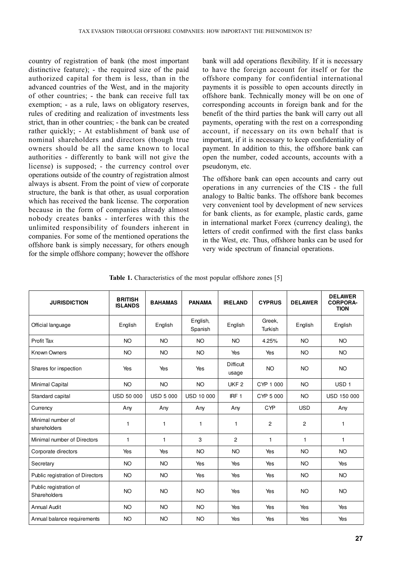country of registration of bank (the most important distinctive feature); - the required size of the paid authorized capital for them is less, than in the advanced countries of the West, and in the majority of other countries; - the bank can receive full tax exemption; - as a rule, laws on obligatory reserves, rules of crediting and realization of investments less strict, than in other countries: - the bank can be created rather quickly: - At establishment of bank use of nominal shareholders and directors (though true owners should be all the same known to local authorities - differently to bank will not give the license) is supposed; - the currency control over operations outside of the country of registration almost always is absent. From the point of view of corporate structure, the bank is that other, as usual corporation which has received the bank license. The corporation because in the form of companies already almost nobody creates banks - interferes with this the unlimited responsibility of founders inherent in companies. For some of the mentioned operations the offshore bank is simply necessary, for others enough for the simple offshore company; however the offshore

bank will add operations flexibility. If it is necessary to have the foreign account for itself or for the offshore company for confidential international payments it is possible to open accounts directly in offshore bank. Technically money will be on one of corresponding accounts in foreign bank and for the benefit of the third parties the bank will carry out all payments, operating with the rest on a corresponding account, if necessary on its own behalf that is important, if it is necessary to keep confidentiality of payment. In addition to this, the offshore bank can open the number, coded accounts, accounts with a pseudonym, etc.

The offshore bank can open accounts and carry out operations in any currencies of the CIS - the full analogy to Baltic banks. The offshore bank becomes very convenient tool by development of new services for bank clients, as for example, plastic cards, game in international market Forex (currency dealing), the letters of credit confirmed with the first class banks in the West, etc. Thus, offshore banks can be used for very wide spectrum of financial operations.

Table 1. Characteristics of the most popular offshore zones [5]

| <b>JURISDICTION</b>                    | <b>BRITISH</b><br><b>ISLANDS</b> | <b>BAHAMAS</b>   | <b>PANAMA</b>       | <b>IRELAND</b>            | <b>CYPRUS</b>     | <b>DELAWER</b> | <b>DELAWER</b><br><b>CORPORA-</b><br><b>TION</b> |
|----------------------------------------|----------------------------------|------------------|---------------------|---------------------------|-------------------|----------------|--------------------------------------------------|
| Official language                      | English                          | English          | English,<br>Spanish | English                   | Greek,<br>Turkish | English        | English                                          |
| Profit Tax                             | <b>NO</b>                        | <b>NO</b>        | <b>NO</b>           | <b>NO</b>                 | 4.25%             | <b>NO</b>      | <b>NO</b>                                        |
| Known Owners                           | <b>NO</b>                        | <b>NO</b>        | <b>NO</b>           | Yes                       | Yes               | <b>NO</b>      | <b>NO</b>                                        |
| Shares for inspection                  | Yes                              | Yes              | Yes                 | <b>Difficult</b><br>usage | <b>NO</b>         | <b>NO</b>      | <b>NO</b>                                        |
| Minimal Capital                        | <b>NO</b>                        | <b>NO</b>        | <b>NO</b>           | UKF <sub>2</sub>          | CYP 1 000         | <b>NO</b>      | USD <sub>1</sub>                                 |
| Standard capital                       | <b>USD 50 000</b>                | <b>USD 5 000</b> | <b>USD 10 000</b>   | IRF <sub>1</sub>          | CYP 5 000         | <b>NO</b>      | <b>USD 150 000</b>                               |
| Currency                               | Any                              | Any              | Any                 | Any                       | <b>CYP</b>        | <b>USD</b>     | Any                                              |
| Minimal number of<br>shareholders      | 1                                | 1                | $\mathbf{1}$        | 1                         | $\overline{c}$    | 2              | 1                                                |
| Minimal number of Directors            | $\mathbf{1}$                     | $\mathbf{1}$     | 3                   | $\overline{c}$            | $\mathbf{1}$      | $\mathbf{1}$   | $\mathbf{1}$                                     |
| Corporate directors                    | Yes                              | Yes              | <b>NO</b>           | <b>NO</b>                 | Yes               | <b>NO</b>      | <b>NO</b>                                        |
| Secretary                              | <b>NO</b>                        | <b>NO</b>        | Yes                 | Yes                       | Yes               | <b>NO</b>      | Yes                                              |
| Public registration of Directors       | <b>NO</b>                        | <b>NO</b>        | Yes                 | Yes                       | Yes               | <b>NO</b>      | <b>NO</b>                                        |
| Public registration of<br>Shareholders | <b>NO</b>                        | <b>NO</b>        | <b>NO</b>           | Yes                       | Yes               | <b>NO</b>      | <b>NO</b>                                        |
| <b>Annual Audit</b>                    | <b>NO</b>                        | <b>NO</b>        | <b>NO</b>           | Yes                       | Yes               | Yes            | Yes                                              |
| Annual balance requirements            | <b>NO</b>                        | <b>NO</b>        | <b>NO</b>           | Yes                       | Yes               | Yes            | Yes                                              |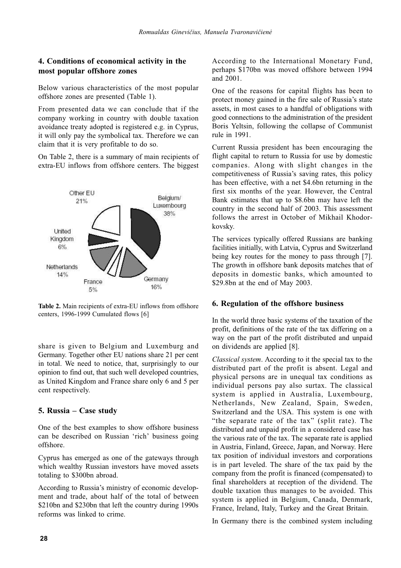# 4. Conditions of economical activity in the most popular offshore zones

Below various characteristics of the most popular offshore zones are presented (Table 1).

From presented data we can conclude that if the company working in country with double taxation avoidance treaty adopted is registered e.g. in Cyprus, it will only pay the symbolical tax. Therefore we can claim that it is very profitable to do so.

On Table 2, there is a summary of main recipients of extra-EU inflows from offshore centers. The biggest



Table 2. Main recipients of extra-EU inflows from offshore centers, 1996-1999 Cumulated flows [6]

share is given to Belgium and Luxemburg and Germany. Together other EU nations share 21 per cent in total. We need to notice, that, surprisingly to our opinion to find out, that such well developed countries, as United Kingdom and France share only 6 and 5 per cent respectively.

# 5. Russia – Case study

One of the best examples to show offshore business can be described on Russian 'rich' business going offshore.

Cyprus has emerged as one of the gateways through which wealthy Russian investors have moved assets totaling to \$300bn abroad.

According to Russia's ministry of economic development and trade, about half of the total of between \$210bn and \$230bn that left the country during 1990s reforms was linked to crime.

According to the International Monetary Fund, perhaps \$170bn was moved offshore between 1994 and 2001.

One of the reasons for capital flights has been to protect money gained in the fire sale of Russia's state assets, in most cases to a handful of obligations with good connections to the administration of the president Boris Yeltsin, following the collapse of Communist rule in 1991.

Current Russia president has been encouraging the flight capital to return to Russia for use by domestic companies. Along with slight changes in the competitiveness of Russia's saving rates, this policy has been effective, with a net \$4.6bn returning in the first six months of the year. However, the Central Bank estimates that up to \$8.6bn may have left the country in the second half of 2003. This assessment follows the arrest in October of Mikhail Khodorkovskv.

The services typically offered Russians are banking facilities initially, with Latvia, Cyprus and Switzerland being key routes for the money to pass through [7]. The growth in offshore bank deposits matches that of deposits in domestic banks, which amounted to \$29.8bn at the end of May 2003.

# 6. Regulation of the offshore business

In the world three basic systems of the taxation of the profit, definitions of the rate of the tax differing on a way on the part of the profit distributed and unpaid on dividends are applied [8].

Classical system. According to it the special tax to the distributed part of the profit is absent. Legal and physical persons are in unequal tax conditions as individual persons pay also surtax. The classical system is applied in Australia, Luxembourg, Netherlands, New Zealand, Spain, Sweden, Switzerland and the USA. This system is one with "the separate rate of the tax" (split rate). The distributed and unpaid profit in a considered case has the various rate of the tax. The separate rate is applied in Austria, Finland, Greece, Japan, and Norway. Here tax position of individual investors and corporations is in part leveled. The share of the tax paid by the company from the profit is financed (compensated) to final shareholders at reception of the dividend. The double taxation thus manages to be avoided. This system is applied in Belgium. Canada. Denmark. France, Ireland, Italy, Turkey and the Great Britain.

In Germany there is the combined system including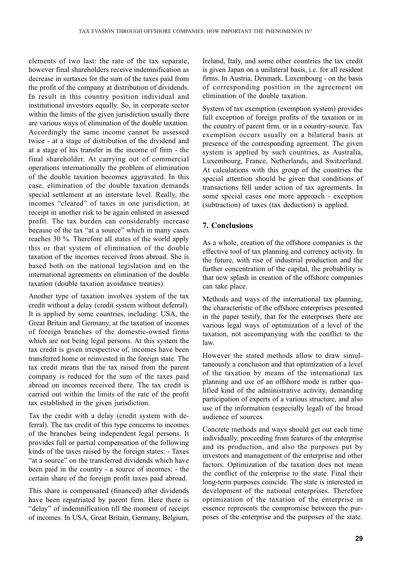elements of two last: the rate of the tax separate, however final shareholders receive indemnification as decrease in surtaxes for the sum of the taxes paid from the profit of the company at distribution of dividends. In result in this country position individual and institutional investors equally. So, in corporate sector within the limits of the given jurisdiction usually there are various ways of elimination of the double taxation. Accordingly the same income cannot be assessed twice - at a stage of distribution of the dividend and at a stage of his transfer in the income of firm - the final shareholder. At carrying out of commercial operations internationally the problem of elimination of the double taxation becomes aggravated. In this case, elimination of the double taxation demands special settlement at an interstate level. Really, the incomes "cleared" of taxes in one jurisdiction, at receipt in another risk to be again enlisted in assessed profit. The tax burden can considerably increase because of the tax "at a source" which in many cases reaches 30 %. Therefore all states of the world apply this or that system of elimination of the double taxation of the incomes received from abroad. She is based both on the national legislation and on the international agreements on elimination of the double taxation (double taxation avoidance treaties).

Another type of taxation involves system of the tax credit without a delay (credit system without deferral). It is applied by some countries, including: USA, the Great Britain and Germany, at the taxation of incomes of foreign branches of the domestic-owned firms which are not being legal persons. At this system the tax credit is given irrespective of, incomes have been transferred home or reinvested in the foreign state. The tax credit means that the tax raised from the parent company is reduced for the sum of the taxes paid abroad on incomes received there. The tax credit is carried out within the limits of the rate of the profit tax established in the given jurisdiction.

Tax the credit with a delay (credit system with deferral). The tax credit of this type concerns to incomes of the branches being independent legal persons. It provides full or partial compensation of the following kinds of the taxes raised by the foreign states: - Taxes "at a source" on the transferred dividends which have been paid in the country - a source of incomes; - the certain share of the foreign profit taxes paid abroad.

This share is compensated (financed) after dividends have been repatriated by parent firm. Here there is "delay" of indemnification till the moment of receipt of incomes. In USA, Great Britain, Germany, Belgium, Ireland, Italy, and some other countries the tax credit is given Japan on a unilateral basis, i.e. for all resident firms. In Austria, Denmark, Luxembourg - on the basis of corresponding position in the agreement on elimination of the double taxation.

System of tax exemption (exemption system) provides full exception of foreign profits of the taxation or in the country of parent firm, or in a country-source. Tax exemption occurs usually on a bilateral basis at presence of the corresponding agreement. The given system is applied by such countries, as Australia, Luxembourg, France, Netherlands, and Switzerland. At calculations with this group of the countries the special attention should be given that conditions of transactions fell under action of tax agreements. In some special cases one more approach - exception (subtraction) of taxes (tax deduction) is applied.

# 7. Conclusions

As a whole, creation of the offshore companies is the effective tool of tax planning and currency activity. In the future, with rise of industrial production and the further concentration of the capital, the probability is that new splash in creation of the offshore companies can take place.

Methods and ways of the international tax planning, the characteristic of the offshore enterprises presented in the paper testify, that for the enterprises there are various legal ways of optimization of a level of the taxation, not accompanying with the conflict to the  $law$ 

However the stated methods allow to draw simultaneously a conclusion and that optimization of a level of the taxation by means of the international tax planning and use of an offshore mode is rather qualified kind of the administrative activity, demanding participation of experts of a various structure, and also use of the information (especially legal) of the broad audience of sources.

Concrete methods and ways should get out each time individually, proceeding from features of the enterprise and its production, and also the purposes put by investors and management of the enterprise and other factors. Optimization of the taxation does not mean the conflict of the enterprise to the state. Final their long-term purposes coincide. The state is interested in development of the national enterprises. Therefore optimization of the taxation of the enterprise in essence represents the compromise between the purposes of the enterprise and the purposes of the state.